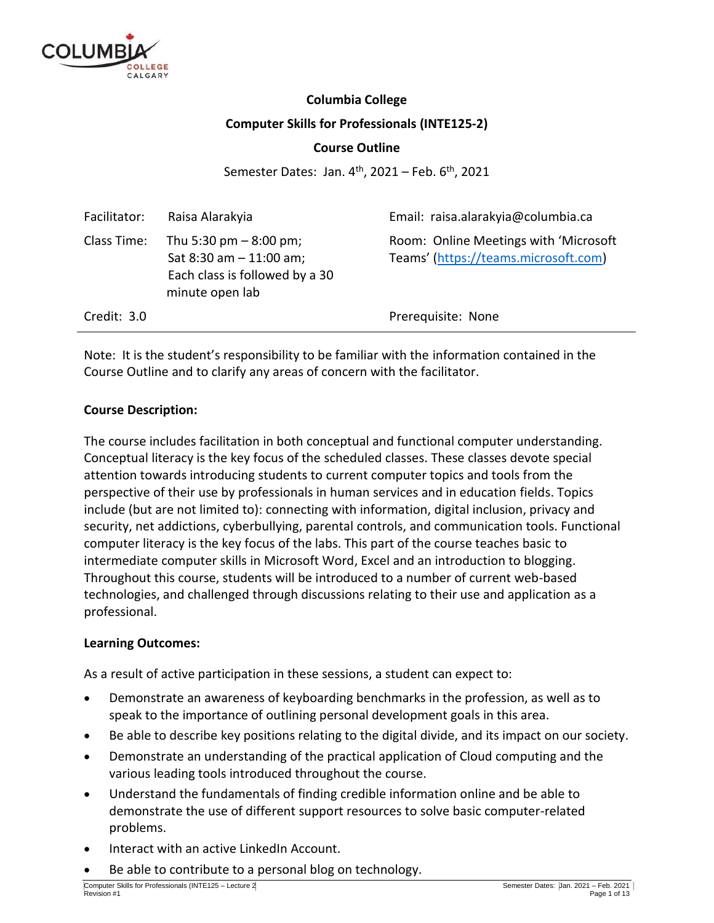

## **Columbia College Computer Skills for Professionals (INTE125-2)**

## **Course Outline**

Semester Dates: Jan. 4<sup>th</sup>, 2021 – Feb. 6<sup>th</sup>, 2021

| Facilitator: | Raisa Alarakyia                                                                                            | Email: raisa.alarakyia@columbia.ca                                            |
|--------------|------------------------------------------------------------------------------------------------------------|-------------------------------------------------------------------------------|
| Class Time:  | Thu 5:30 pm $-8:00$ pm;<br>Sat $8:30$ am $-11:00$ am;<br>Each class is followed by a 30<br>minute open lab | Room: Online Meetings with 'Microsoft<br>Teams' (https://teams.microsoft.com) |
| Credit: 3.0  |                                                                                                            | Prerequisite: None                                                            |

Note: It is the student's responsibility to be familiar with the information contained in the Course Outline and to clarify any areas of concern with the facilitator.

## **Course Description:**

The course includes facilitation in both conceptual and functional computer understanding. Conceptual literacy is the key focus of the scheduled classes. These classes devote special attention towards introducing students to current computer topics and tools from the perspective of their use by professionals in human services and in education fields. Topics include (but are not limited to): connecting with information, digital inclusion, privacy and security, net addictions, cyberbullying, parental controls, and communication tools. Functional computer literacy is the key focus of the labs. This part of the course teaches basic to intermediate computer skills in Microsoft Word, Excel and an introduction to blogging. Throughout this course, students will be introduced to a number of current web-based technologies, and challenged through discussions relating to their use and application as a professional.

## **Learning Outcomes:**

As a result of active participation in these sessions, a student can expect to:

- Demonstrate an awareness of keyboarding benchmarks in the profession, as well as to speak to the importance of outlining personal development goals in this area.
- Be able to describe key positions relating to the digital divide, and its impact on our society.
- Demonstrate an understanding of the practical application of Cloud computing and the various leading tools introduced throughout the course.
- Understand the fundamentals of finding credible information online and be able to demonstrate the use of different support resources to solve basic computer-related problems.
- Interact with an active LinkedIn Account.
- Be able to contribute to a personal blog on technology.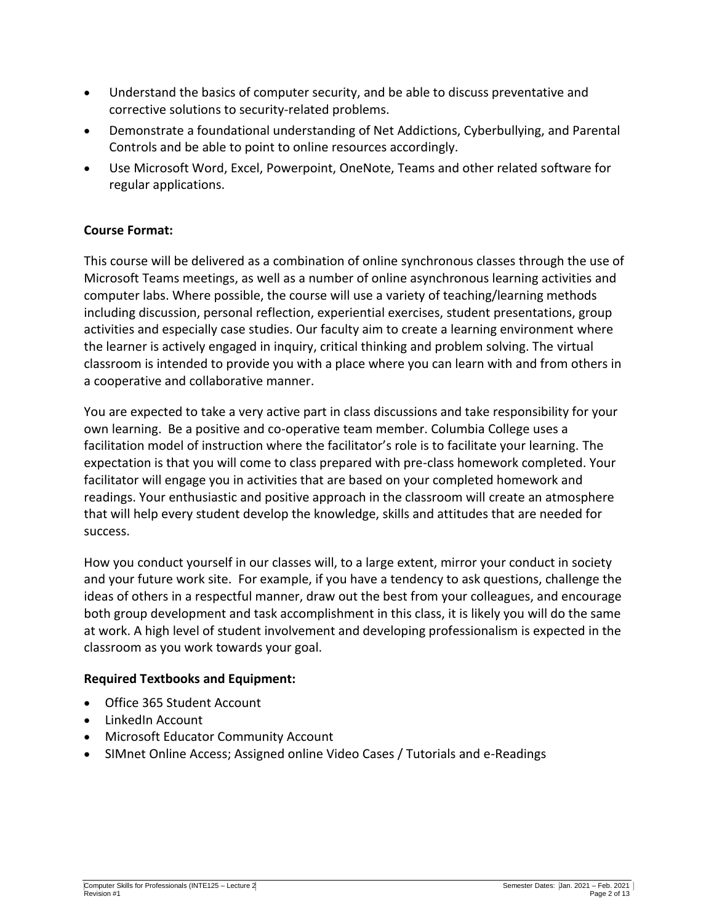- Understand the basics of computer security, and be able to discuss preventative and corrective solutions to security-related problems.
- Demonstrate a foundational understanding of Net Addictions, Cyberbullying, and Parental Controls and be able to point to online resources accordingly.
- Use Microsoft Word, Excel, Powerpoint, OneNote, Teams and other related software for regular applications.

## **Course Format:**

This course will be delivered as a combination of online synchronous classes through the use of Microsoft Teams meetings, as well as a number of online asynchronous learning activities and computer labs. Where possible, the course will use a variety of teaching/learning methods including discussion, personal reflection, experiential exercises, student presentations, group activities and especially case studies. Our faculty aim to create a learning environment where the learner is actively engaged in inquiry, critical thinking and problem solving. The virtual classroom is intended to provide you with a place where you can learn with and from others in a cooperative and collaborative manner.

You are expected to take a very active part in class discussions and take responsibility for your own learning. Be a positive and co-operative team member. Columbia College uses a facilitation model of instruction where the facilitator's role is to facilitate your learning. The expectation is that you will come to class prepared with pre-class homework completed. Your facilitator will engage you in activities that are based on your completed homework and readings. Your enthusiastic and positive approach in the classroom will create an atmosphere that will help every student develop the knowledge, skills and attitudes that are needed for success.

How you conduct yourself in our classes will, to a large extent, mirror your conduct in society and your future work site. For example, if you have a tendency to ask questions, challenge the ideas of others in a respectful manner, draw out the best from your colleagues, and encourage both group development and task accomplishment in this class, it is likely you will do the same at work. A high level of student involvement and developing professionalism is expected in the classroom as you work towards your goal.

## **Required Textbooks and Equipment:**

- Office 365 Student Account
- LinkedIn Account
- Microsoft Educator Community Account
- SIMnet Online Access; Assigned online Video Cases / Tutorials and e-Readings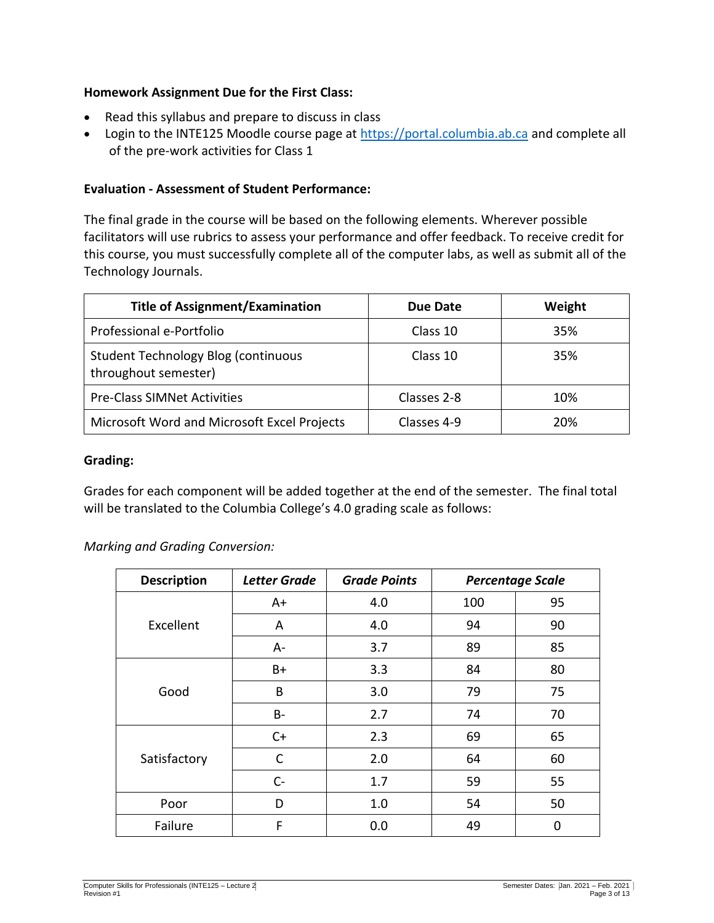## **Homework Assignment Due for the First Class:**

- Read this syllabus and prepare to discuss in class
- Login to the INTE125 Moodle course page at [https://portal.columbia.ab.ca](https://portal.columbia.ab.ca/) and complete all of the pre-work activities for Class 1

## **Evaluation - Assessment of Student Performance:**

The final grade in the course will be based on the following elements. Wherever possible facilitators will use rubrics to assess your performance and offer feedback. To receive credit for this course, you must successfully complete all of the computer labs, as well as submit all of the Technology Journals.

| <b>Title of Assignment/Examination</b>                             | Due Date    | Weight |
|--------------------------------------------------------------------|-------------|--------|
| Professional e-Portfolio                                           | Class 10    | 35%    |
| <b>Student Technology Blog (continuous</b><br>throughout semester) | Class 10    | 35%    |
| <b>Pre-Class SIMNet Activities</b>                                 | Classes 2-8 | 10%    |
| Microsoft Word and Microsoft Excel Projects                        | Classes 4-9 | 20%    |

## **Grading:**

Grades for each component will be added together at the end of the semester. The final total will be translated to the Columbia College's 4.0 grading scale as follows:

*Marking and Grading Conversion:*

| <b>Description</b> | <b>Letter Grade</b> | <b>Grade Points</b> |     | <b>Percentage Scale</b> |
|--------------------|---------------------|---------------------|-----|-------------------------|
|                    | $A+$                | 4.0                 | 100 | 95                      |
| Excellent          | A                   | 4.0                 | 94  | 90                      |
|                    | A-                  | 3.7                 | 89  | 85                      |
|                    | B+                  | 3.3                 | 84  | 80                      |
| Good               | B                   | 3.0                 | 79  | 75                      |
|                    | <b>B-</b>           | 2.7                 | 74  | 70                      |
|                    | $C+$                | 2.3                 | 69  | 65                      |
| Satisfactory       | C                   | 2.0                 | 64  | 60                      |
|                    | $C-$                | 1.7                 | 59  | 55                      |
| Poor               | D                   | 1.0                 | 54  | 50                      |
| Failure            | F                   | 0.0                 | 49  | 0                       |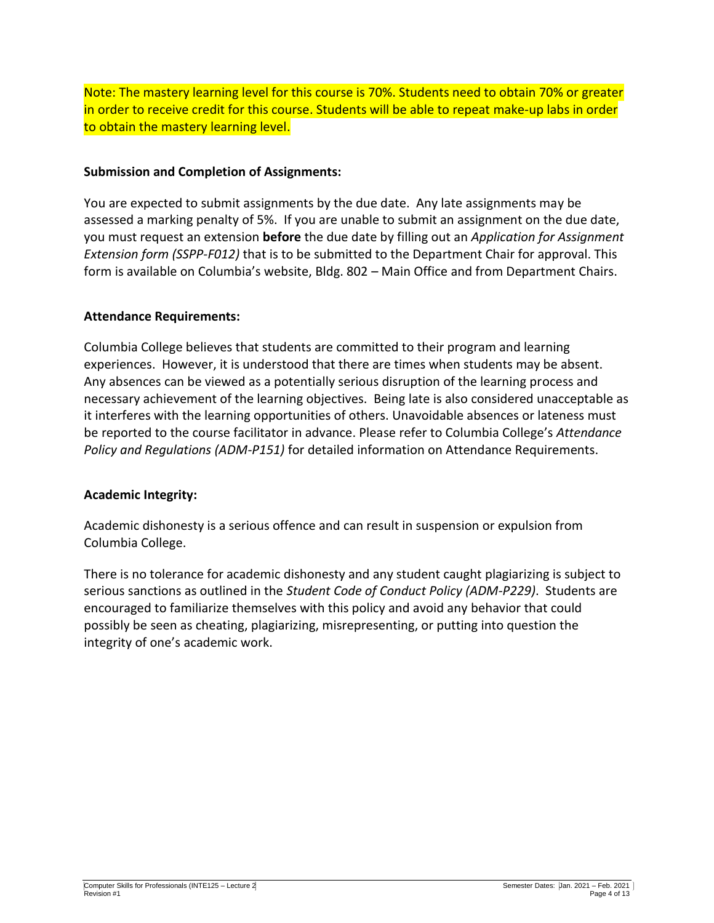Note: The mastery learning level for this course is 70%. Students need to obtain 70% or greater in order to receive credit for this course. Students will be able to repeat make-up labs in order to obtain the mastery learning level.

## **Submission and Completion of Assignments:**

You are expected to submit assignments by the due date. Any late assignments may be assessed a marking penalty of 5%. If you are unable to submit an assignment on the due date, you must request an extension **before** the due date by filling out an *Application for Assignment Extension form (SSPP-F012)* that is to be submitted to the Department Chair for approval. This form is available on Columbia's website, Bldg. 802 – Main Office and from Department Chairs.

## **Attendance Requirements:**

Columbia College believes that students are committed to their program and learning experiences. However, it is understood that there are times when students may be absent. Any absences can be viewed as a potentially serious disruption of the learning process and necessary achievement of the learning objectives. Being late is also considered unacceptable as it interferes with the learning opportunities of others. Unavoidable absences or lateness must be reported to the course facilitator in advance. Please refer to Columbia College's *Attendance Policy and Regulations (ADM-P151)* for detailed information on Attendance Requirements.

## **Academic Integrity:**

Academic dishonesty is a serious offence and can result in suspension or expulsion from Columbia College.

There is no tolerance for academic dishonesty and any student caught plagiarizing is subject to serious sanctions as outlined in the *Student Code of Conduct Policy (ADM-P229)*. Students are encouraged to familiarize themselves with this policy and avoid any behavior that could possibly be seen as cheating, plagiarizing, misrepresenting, or putting into question the integrity of one's academic work.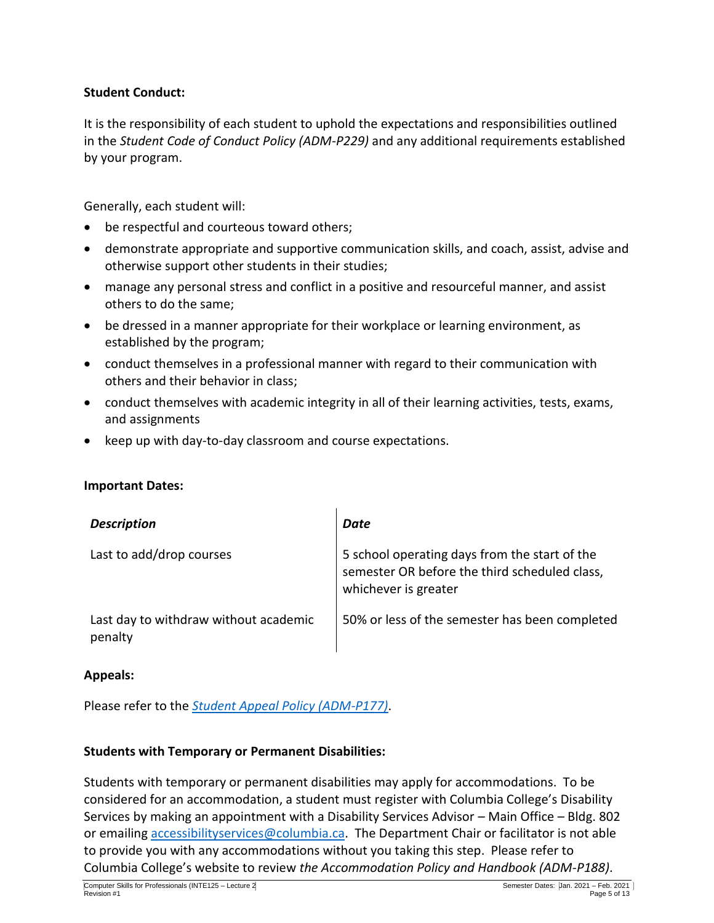## **Student Conduct:**

It is the responsibility of each student to uphold the expectations and responsibilities outlined in the *Student Code of Conduct Policy (ADM-P229)* and any additional requirements established by your program.

Generally, each student will:

- be respectful and courteous toward others;
- demonstrate appropriate and supportive communication skills, and coach, assist, advise and otherwise support other students in their studies;
- manage any personal stress and conflict in a positive and resourceful manner, and assist others to do the same;
- be dressed in a manner appropriate for their workplace or learning environment, as established by the program;
- conduct themselves in a professional manner with regard to their communication with others and their behavior in class;
- conduct themselves with academic integrity in all of their learning activities, tests, exams, and assignments
- keep up with day-to-day classroom and course expectations.

## **Important Dates:**

| <b>Description</b>                               | Date                                                                                                                   |
|--------------------------------------------------|------------------------------------------------------------------------------------------------------------------------|
| Last to add/drop courses                         | 5 school operating days from the start of the<br>semester OR before the third scheduled class,<br>whichever is greater |
| Last day to withdraw without academic<br>penalty | 50% or less of the semester has been completed                                                                         |

## **Appeals:**

Please refer to the *[Student Appeal Policy \(ADM-P177\)](https://www.columbia.ab.ca/wp-content/uploads/2016/12/Student-Appeal-Policy-Adm-P177.pdf)*.

## **Students with Temporary or Permanent Disabilities:**

Students with temporary or permanent disabilities may apply for accommodations. To be considered for an accommodation, a student must register with Columbia College's Disability Services by making an appointment with a Disability Services Advisor – Main Office – Bldg. 802 or emailing [accessibilityservices@columbia.ca.](mailto:accessibilityservices@columbia.ca) The Department Chair or facilitator is not able to provide you with any accommodations without you taking this step. Please refer to Columbia College's website to review *the Accommodation Policy and Handbook (ADM-P188)*.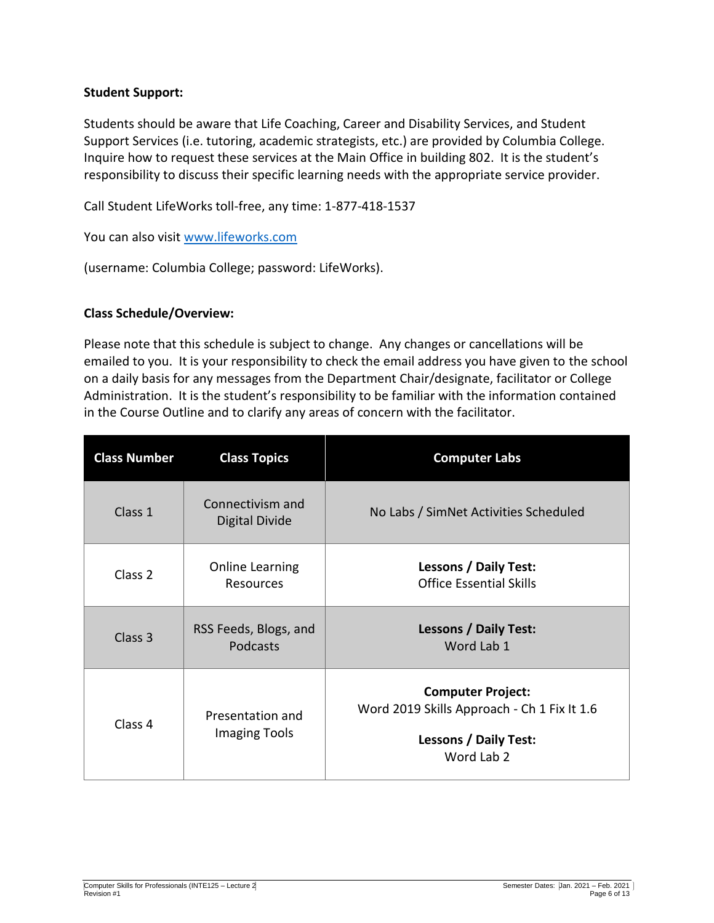## **Student Support:**

Students should be aware that Life Coaching, Career and Disability Services, and Student Support Services (i.e. tutoring, academic strategists, etc.) are provided by Columbia College. Inquire how to request these services at the Main Office in building 802. It is the student's responsibility to discuss their specific learning needs with the appropriate service provider.

Call Student LifeWorks toll-free, any time: 1-877-418-1537

You can also visit [www.lifeworks.com](http://www.lifeworks.com/)

(username: Columbia College; password: LifeWorks).

## **Class Schedule/Overview:**

Please note that this schedule is subject to change. Any changes or cancellations will be emailed to you. It is your responsibility to check the email address you have given to the school on a daily basis for any messages from the Department Chair/designate, facilitator or College Administration. It is the student's responsibility to be familiar with the information contained in the Course Outline and to clarify any areas of concern with the facilitator.

| <b>Class Number</b> | <b>Class Topics</b>                      | <b>Computer Labs</b>                                                                                                  |
|---------------------|------------------------------------------|-----------------------------------------------------------------------------------------------------------------------|
| Class 1             | Connectivism and<br>Digital Divide       | No Labs / SimNet Activities Scheduled                                                                                 |
| Class <sub>2</sub>  | <b>Online Learning</b><br>Resources      | <b>Lessons / Daily Test:</b><br><b>Office Essential Skills</b>                                                        |
| Class <sub>3</sub>  | RSS Feeds, Blogs, and<br><b>Podcasts</b> | <b>Lessons / Daily Test:</b><br>Word Lab 1                                                                            |
| Class 4             | Presentation and<br><b>Imaging Tools</b> | <b>Computer Project:</b><br>Word 2019 Skills Approach - Ch 1 Fix It 1.6<br><b>Lessons / Daily Test:</b><br>Word Lab 2 |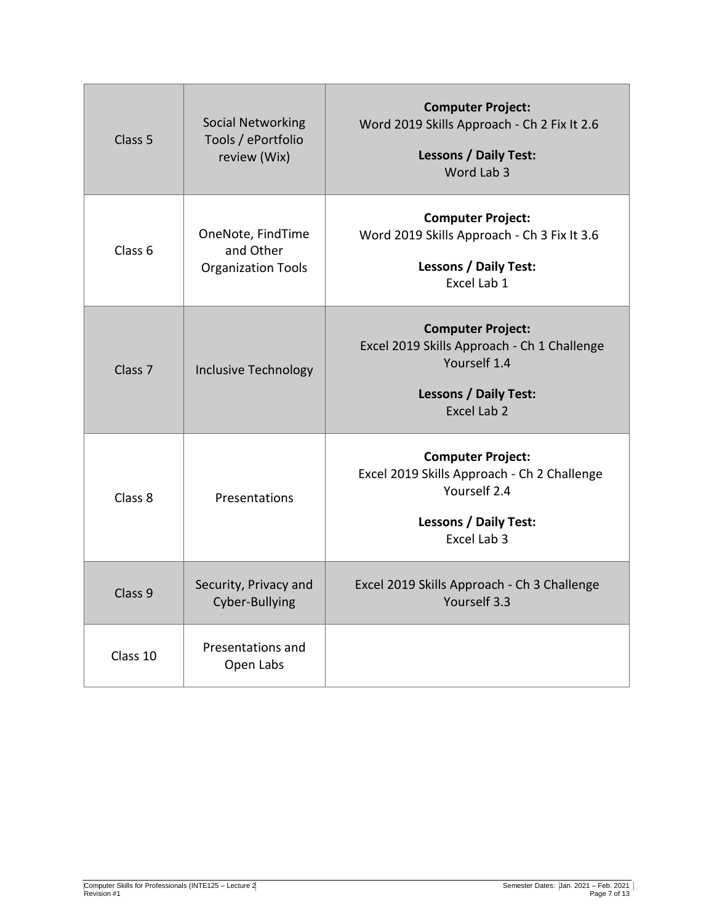| Class <sub>5</sub> | <b>Social Networking</b><br>Tools / ePortfolio<br>review (Wix) | <b>Computer Project:</b><br>Word 2019 Skills Approach - Ch 2 Fix It 2.6<br><b>Lessons / Daily Test:</b><br>Word Lab 3                  |
|--------------------|----------------------------------------------------------------|----------------------------------------------------------------------------------------------------------------------------------------|
| Class <sub>6</sub> | OneNote, FindTime<br>and Other<br><b>Organization Tools</b>    | <b>Computer Project:</b><br>Word 2019 Skills Approach - Ch 3 Fix It 3.6<br><b>Lessons / Daily Test:</b><br>Excel Lab 1                 |
| Class <sub>7</sub> | <b>Inclusive Technology</b>                                    | <b>Computer Project:</b><br>Excel 2019 Skills Approach - Ch 1 Challenge<br>Yourself 1.4<br><b>Lessons / Daily Test:</b><br>Excel Lab 2 |
| Class 8            | Presentations                                                  | <b>Computer Project:</b><br>Excel 2019 Skills Approach - Ch 2 Challenge<br>Yourself 2.4<br><b>Lessons / Daily Test:</b><br>Excel Lab 3 |
| Class <sub>9</sub> | Security, Privacy and<br>Cyber-Bullying                        | Excel 2019 Skills Approach - Ch 3 Challenge<br>Yourself 3.3                                                                            |
| Class 10           | Presentations and<br>Open Labs                                 |                                                                                                                                        |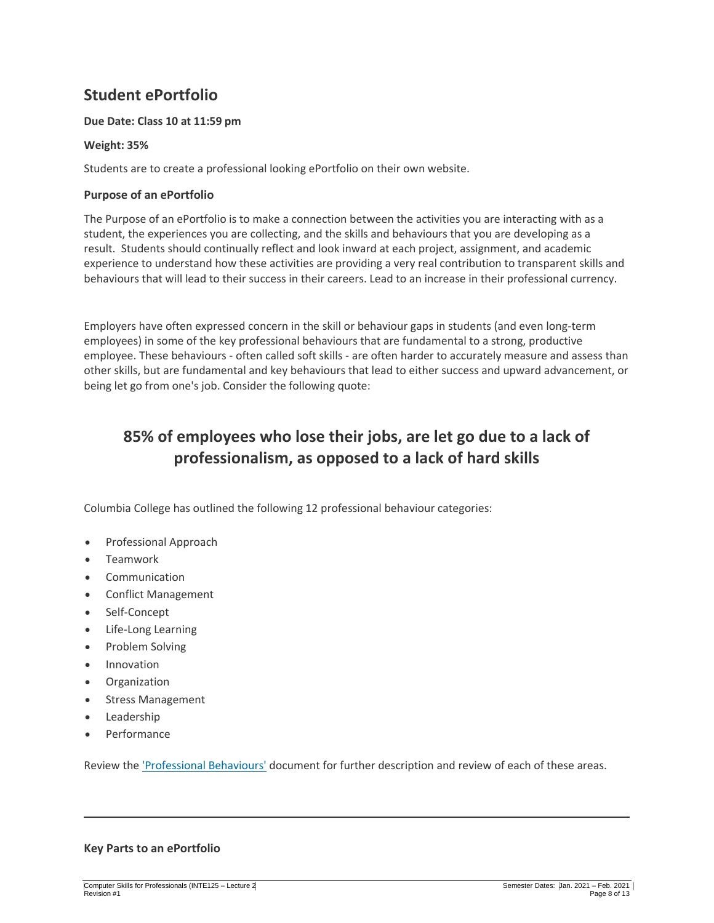## **Student ePortfolio**

#### **Due Date: Class 10 at 11:59 pm**

#### **Weight: 35%**

Students are to create a professional looking ePortfolio on their own website.

#### **Purpose of an ePortfolio**

The Purpose of an ePortfolio is to make a connection between the activities you are interacting with as a student, the experiences you are collecting, and the skills and behaviours that you are developing as a result. Students should continually reflect and look inward at each project, assignment, and academic experience to understand how these activities are providing a very real contribution to transparent skills and behaviours that will lead to their success in their careers. Lead to an increase in their professional currency.

Employers have often expressed concern in the skill or behaviour gaps in students (and even long-term employees) in some of the key professional behaviours that are fundamental to a strong, productive employee. These behaviours - often called soft skills - are often harder to accurately measure and assess than other skills, but are fundamental and key behaviours that lead to either success and upward advancement, or being let go from one's job. Consider the following quote:

# **85% of employees who lose their jobs, are let go due to a lack of professionalism, as opposed to a lack of hard skills**

Columbia College has outlined the following 12 professional behaviour categories:

- Professional Approach
- Teamwork
- Communication
- Conflict Management
- Self-Concept
- Life-Long Learning
- Problem Solving
- Innovation
- Organization
- Stress Management
- Leadership
- Performance

Review the ['Professional Behaviours'](https://www.columbia.ab.ca/wp-content/uploads/2020/04/Professional-Behaviours-ADM-P276-2.pdf) document for further description and review of each of these areas.

#### **Key Parts to an ePortfolio**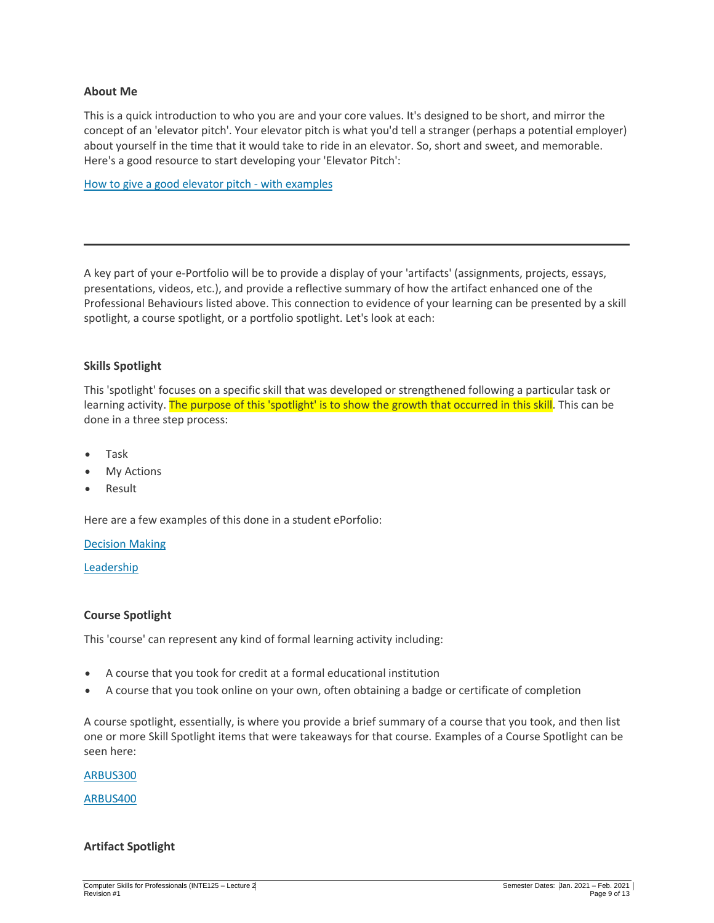#### **About Me**

This is a quick introduction to who you are and your core values. It's designed to be short, and mirror the concept of an 'elevator pitch'. Your elevator pitch is what you'd tell a stranger (perhaps a potential employer) about yourself in the time that it would take to ride in an elevator. So, short and sweet, and memorable. Here's a good resource to start developing your 'Elevator Pitch':

[How to give a good elevator pitch -](https://www.indeed.com/career-advice/interviewing/how-to-give-an-elevator-pitch-examples) with examples

A key part of your e-Portfolio will be to provide a display of your 'artifacts' (assignments, projects, essays, presentations, videos, etc.), and provide a reflective summary of how the artifact enhanced one of the Professional Behaviours listed above. This connection to evidence of your learning can be presented by a skill spotlight, a course spotlight, or a portfolio spotlight. Let's look at each:

#### **Skills Spotlight**

This 'spotlight' focuses on a specific skill that was developed or strengthened following a particular task or learning activity. The purpose of this 'spotlight' is to show the growth that occurred in this skill. This can be done in a three step process:

- Task
- My Actions
- Result

Here are a few examples of this done in a student ePorfolio:

#### [Decision Making](https://daniellemcru.wixsite.com/eportfolio/decision-making)

[Leadership](https://daniellemcru.wixsite.com/eportfolio/leadership)

#### **Course Spotlight**

This 'course' can represent any kind of formal learning activity including:

- A course that you took for credit at a formal educational institution
- A course that you took online on your own, often obtaining a badge or certificate of completion

A course spotlight, essentially, is where you provide a brief summary of a course that you took, and then list one or more Skill Spotlight items that were takeaways for that course. Examples of a Course Spotlight can be seen here:

[ARBUS300](https://daniellemcru.wixsite.com/eportfolio/skills-spotlight)

[ARBUS400](https://daniellemcru.wixsite.com/eportfolio/arbus-400)

#### **Artifact Spotlight**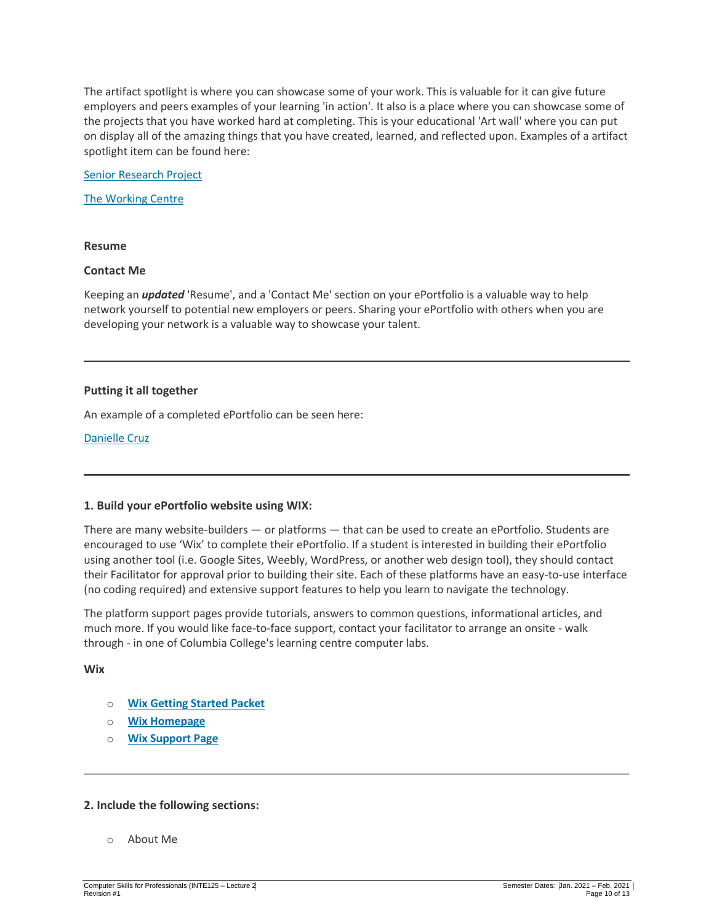The artifact spotlight is where you can showcase some of your work. This is valuable for it can give future employers and peers examples of your learning 'in action'. It also is a place where you can showcase some of the projects that you have worked hard at completing. This is your educational 'Art wall' where you can put on display all of the amazing things that you have created, learned, and reflected upon. Examples of a artifact spotlight item can be found here:

[Senior Research Project](https://daniellemcru.wixsite.com/eportfolio/ki-senior-research-project)

[The Working Centre](https://daniellejuneau.wixsite.com/watcv/modular-housing)

#### **Resume**

#### **Contact Me**

Keeping an *updated* 'Resume', and a 'Contact Me' section on your ePortfolio is a valuable way to help network yourself to potential new employers or peers. Sharing your ePortfolio with others when you are developing your network is a valuable way to showcase your talent.

#### **Putting it all together**

An example of a completed ePortfolio can be seen here:

[Danielle Cruz](https://daniellemcru.wixsite.com/eportfolio)

#### **1. Build your ePortfolio website using WIX:**

There are many website-builders — or platforms — that can be used to create an ePortfolio. Students are encouraged to use 'Wix' to complete their ePortfolio. If a student is interested in building their ePortfolio using another tool (i.e. Google Sites, Weebly, WordPress, or another web design tool), they should contact their Facilitator for approval prior to building their site. Each of these platforms have an easy-to-use interface (no coding required) and extensive support features to help you learn to navigate the technology.

The platform support pages provide tutorials, answers to common questions, informational articles, and much more. If you would like face-to-face support, contact your facilitator to arrange an onsite - walk through - in one of Columbia College's learning centre computer labs.

**Wix**

- o **[Wix Getting Started Packet](http://wp.auburn.edu/writing/wp-content/uploads/Getting-Started-with-Wix.pdf)**
- o **[Wix Homepage](https://www.wix.com/)**
- o **[Wix Support Page](https://support.wix.com/en/)**

#### **2. Include the following sections:**

o About Me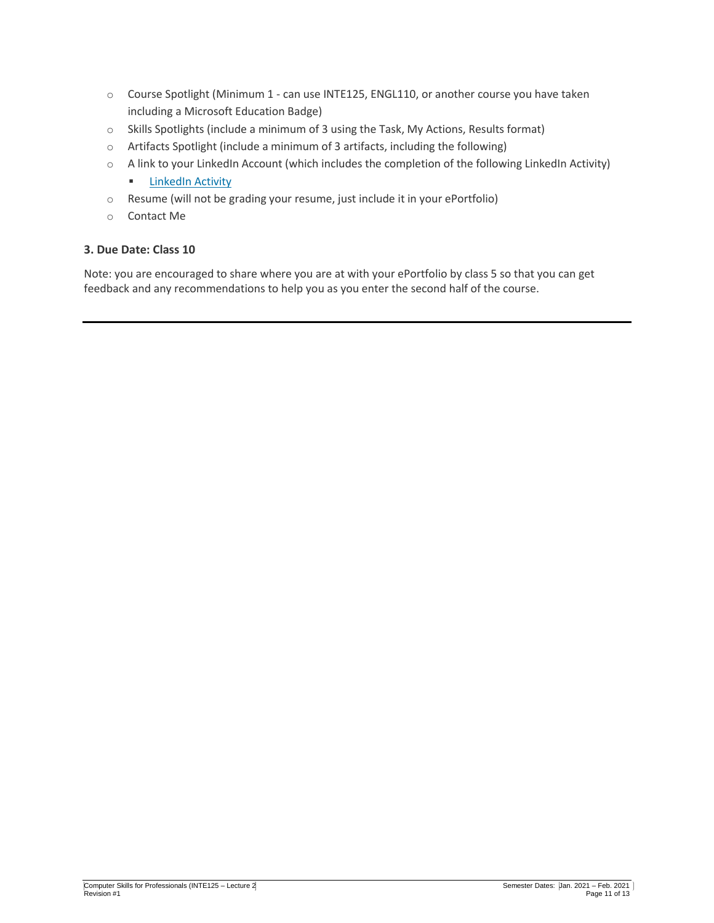- o Course Spotlight (Minimum 1 can use INTE125, ENGL110, or another course you have taken including a Microsoft Education Badge)
- o Skills Spotlights (include a minimum of 3 using the Task, My Actions, Results format)
- o Artifacts Spotlight (include a minimum of 3 artifacts, including the following)
- o A link to your LinkedIn Account (which includes the completion of the following LinkedIn Activity)
	- **E** [LinkedIn Activity](https://portal.columbia.ca/mod/page/view.php?id=48396)
- o Resume (will not be grading your resume, just include it in your ePortfolio)
- o Contact Me

#### **3. Due Date: Class 10**

Note: you are encouraged to share where you are at with your ePortfolio by class 5 so that you can get feedback and any recommendations to help you as you enter the second half of the course.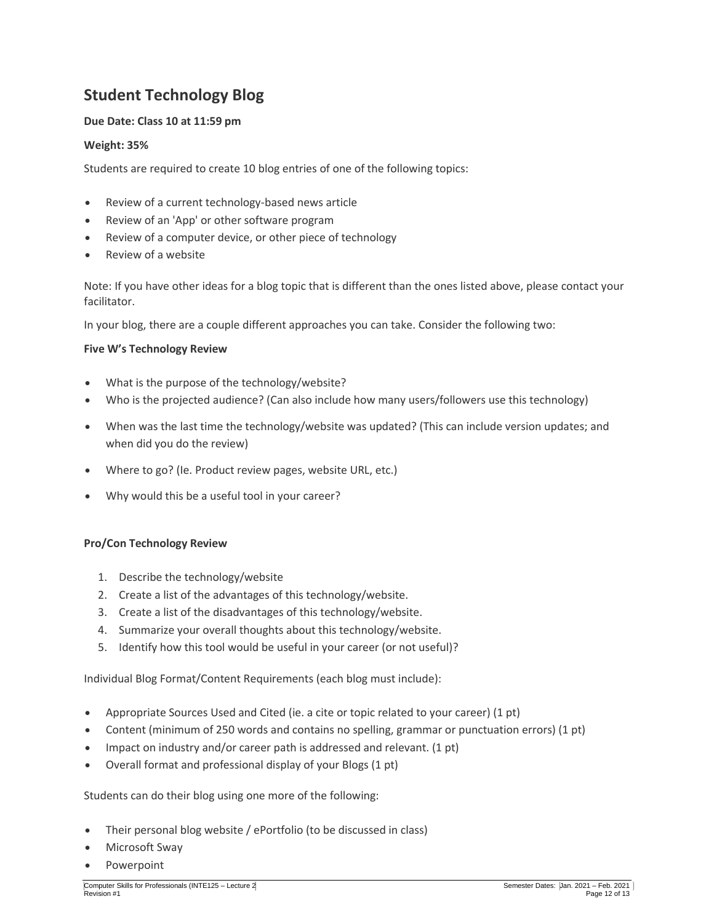# **Student Technology Blog**

#### **Due Date: Class 10 at 11:59 pm**

#### **Weight: 35%**

Students are required to create 10 blog entries of one of the following topics:

- Review of a current technology-based news article
- Review of an 'App' or other software program
- Review of a computer device, or other piece of technology
- Review of a website

Note: If you have other ideas for a blog topic that is different than the ones listed above, please contact your facilitator.

In your blog, there are a couple different approaches you can take. Consider the following two:

#### **Five W's Technology Review**

- What is the purpose of the technology/website?
- Who is the projected audience? (Can also include how many users/followers use this technology)
- When was the last time the technology/website was updated? (This can include version updates; and when did you do the review)
- Where to go? (Ie. Product review pages, website URL, etc.)
- Why would this be a useful tool in your career?

#### **Pro/Con Technology Review**

- 1. Describe the technology/website
- 2. Create a list of the advantages of this technology/website.
- 3. Create a list of the disadvantages of this technology/website.
- 4. Summarize your overall thoughts about this technology/website.
- 5. Identify how this tool would be useful in your career (or not useful)?

Individual Blog Format/Content Requirements (each blog must include):

- Appropriate Sources Used and Cited (ie. a cite or topic related to your career) (1 pt)
- Content (minimum of 250 words and contains no spelling, grammar or punctuation errors) (1 pt)
- Impact on industry and/or career path is addressed and relevant. (1 pt)
- Overall format and professional display of your Blogs (1 pt)

Students can do their blog using one more of the following:

- Their personal blog website / ePortfolio (to be discussed in class)
- Microsoft Sway
- Powerpoint